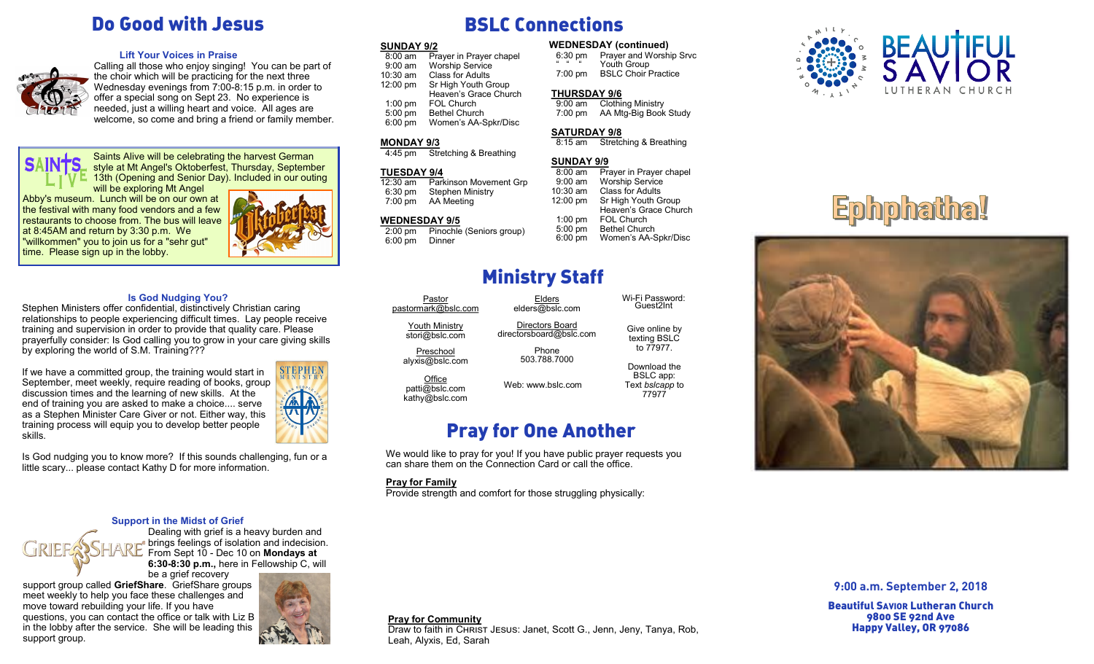## Do Good with Jesus

#### **Lift Your Voices in Praise**



Calling all those who enjoy singing! You can be part of the choir which will be practicing for the next three Wednesday evenings from 7:00-8:15 p.m. in order to offer a special song on Sept 23. No experience is needed, just a willing heart and voice. All ages are welcome, so come and bring a friend or family member.

**SAIN1** 

Saints Alive will be celebrating the harvest German style at Mt Angel's Oktoberfest, Thursday, September 13th (Opening and Senior Day). Included in our outing will be exploring Mt Angel

Abby's museum. Lunch will be on our own at the festival with many food vendors and a few restaurants to choose from. The bus will leave at 8:45AM and return by 3:30 p.m. We "willkommen" you to join us for a "sehr gut" time. Please sign up in the lobby.



#### **Is God Nudging You?**

Stephen Ministers offer confidential, distinctively Christian caring relationships to people experiencing difficult times. Lay people receive training and supervision in order to provide that quality care. Please prayerfully consider: Is God calling you to grow in your care giving skills by exploring the world of S.M. Training???

If we have a committed group, the training would start in September, meet weekly, require reading of books, group discussion times and the learning of new skills. At the end of training you are asked to make a choice.... serve as a Stephen Minister Care Giver or not. Either way, this training process will equip you to develop better people skills.



Is God nudging you to know more? If this sounds challenging, fun or a little scary... please contact Kathy D for more information.

#### **Support in the Midst of Grief**

Dealing with grief is a heavy burden and brings feelings of isolation and indecision. From Sept 10 - Dec 10 on **Mondays at 6:30-8:30 p.m.,** here in Fellowship C, will

be a grief recovery

support group called **GriefShare**. GriefShare groups meet weekly to help you face these challenges and move toward rebuilding your life. If you have questions, you can contact the office or talk with Liz B in the lobby after the service. She will be leading this support group.



# BSLC Connections

| <b>SUNDAY 9/2</b>  |                         | <b>WEDNESDAY</b> (continued) |                          |
|--------------------|-------------------------|------------------------------|--------------------------|
| $8:00$ am          | Prayer in Prayer chapel | $6:30 \text{ pm}$            | Prayer and Worsh         |
| $9:00$ am          | <b>Worship Service</b>  | $66$ $66$                    | Youth Group              |
| $10:30$ am         | <b>Class for Adults</b> | $7:00 \text{ pm}$            | <b>BSLC Choir Pract</b>  |
| $12:00 \text{ pm}$ | Sr High Youth Group     |                              |                          |
|                    | Heaven's Grace Church   | <b>THURSDAY 9/6</b>          |                          |
| $1:00$ pm          | FOL Church              | $9:00$ am                    | <b>Clothing Ministry</b> |
| $5:00$ pm          | <b>Bethel Church</b>    | $7:00$ pm                    | AA Mtg-Big Book          |
| $6:00$ pm          | Women's AA-Spkr/Disc    |                              |                          |

## **MONDAY 9/3**

#### 4:45 pm Stretching & Breathing

## **TUESDAY 9/4**<br>12:30 am Park

Parkinson Movement Grp 6:30 pm Stephen Ministry 7:00 pm AA Meeting

## **WEDNESDAY 9/5**<br>2:00 pm Pinochle

Pinochle (Seniors group) 6:00 pm Dinner

# Ministry Staff

Elders elders@bslc.com Directors Board directorsboard@bslc.com Phone 503.788.7000

**Pastor** pastormark@bslc.com

> Youth Ministry stori@bslc.com

Preschool

alyxis@bslc.com **Office** 

patti@bslc.com kathy@bslc.com

Web: www.bslc.com

to 77977. Download the BSLC app: Text *bslcapp* to

Prayer and Worship Srvc

**BSLC Choir Practice** 

Stretching & Breathing

Heaven's Grace Church

Give online by texting BSLC

Wi-Fi Password: Guest2Int

77977

8:00 am Prayer in Prayer chapel<br>9:00 am Worship Service Worship Service

10:30 am Class for Adults 12:00 pm Sr High Youth Group

 1:00 pm FOL Church 5:00 pm Bethel Church 6:00 pm Women's AA-Spkr/Disc

 9:00 am Clothing Ministry 7:00 pm AA Mtg-Big Book Study

**SATURDAY 9/8**<br>8:15 am Stretc

**SUNDAY 9/9**<br>8:00 am Pr

Pray for One Another

Draw to faith in CHRIST JESUS: Janet, Scott G., Jenn, Jeny, Tanya, Rob,

We would like to pray for you! If you have public prayer requests you can share them on the Connection Card or call the office.

#### **Pray for Family**

**Pray for Community**

Leah, Alyxis, Ed, Sarah

Provide strength and comfort for those struggling physically:



# Ephphatha!



## **9:00 a.m. September 2, 2018**

Beautiful SAVIOR Lutheran Church 9800 SE 92nd Ave Happy Valley, OR 97086